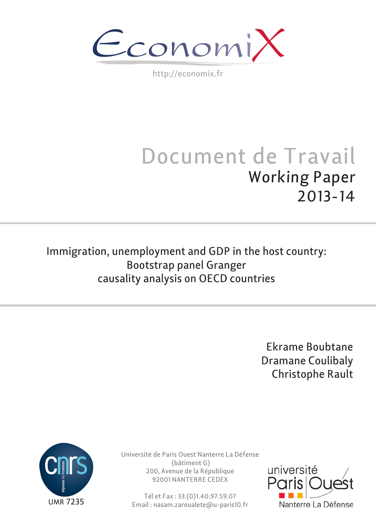$\epsilon$ conomi)

http://economix.fr

# Document de Travail Working Paper 2013-14

Immigration, unemployment and GDP in the host country: Bootstrap panel Granger causality analysis on OECD countries

> Ekrame Boubtane Dramane Coulibaly Christophe Rault



Université de Paris Ouest Nanterre La Défense (bâtiment G) 200, Avenue de la République 92001 NANTERRE CEDEX

Tél et Fax : 33.(0)1.40.97.59.07 Email : nasam.zaroualete@u-paris10.fr

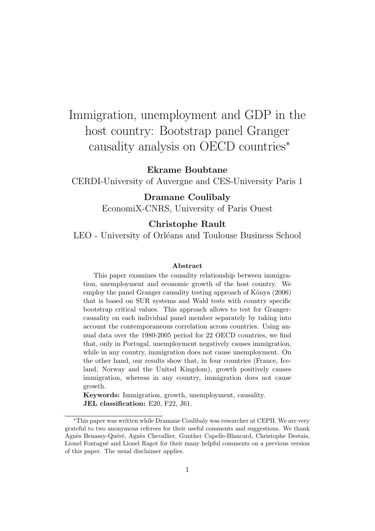## Immigration, unemployment and GDP in the host country: Bootstrap panel Granger causality analysis on OECD countries<sup>∗</sup>

#### Ekrame Boubtane

CERDI-University of Auvergne and CES-University Paris 1

#### Dramane Coulibaly

EconomiX-CNRS, University of Paris Ouest

#### Christophe Rault

LEO - University of Orléans and Toulouse Business School

#### Abstract

This paper examines the causality relationship between immigration, unemployment and economic growth of the host country. We employ the panel Granger causality testing approach of Kónya (2006) that is based on SUR systems and Wald tests with country specific bootstrap critical values. This approach allows to test for Grangercausality on each individual panel member separately by taking into account the contemporaneous correlation across countries. Using annual data over the 1980-2005 period for 22 OECD countries, we find that, only in Portugal, unemployment negatively causes immigration, while in any country, immigration does not cause unemployment. On the other hand, our results show that, in four countries (France, Iceland, Norway and the United Kingdom), growth positively causes immigration, whereas in any country, immigration does not cause growth.

Keywords: Immigration, growth, unemployment, causality. JEL classification: E20, F22, J61.

<sup>∗</sup>This paper was written while Dramane Coulibaly was researcher at CEPII. We are very grateful to two anonymous referees for their useful comments and suggestions. We thank Agnès Benassy-Quéré, Agnès Chevallier, Gunther Capelle-Blancard, Christophe Destais, Lionel Fontagn´e and Lionel Ragot for their many helpful comments on a previous version of this paper. The usual disclaimer applies.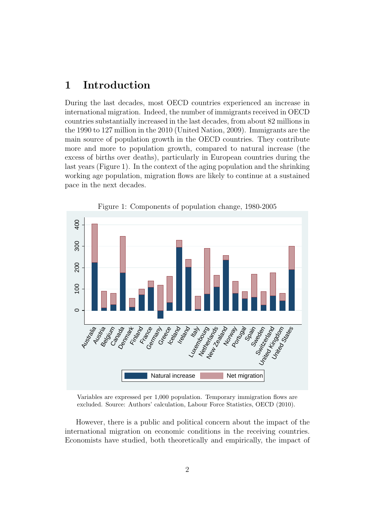## 1 Introduction

During the last decades, most OECD countries experienced an increase in international migration. Indeed, the number of immigrants received in OECD countries substantially increased in the last decades, from about 82 millions in the 1990 to 127 million in the 2010 (United Nation, 2009). Immigrants are the main source of population growth in the OECD countries. They contribute more and more to population growth, compared to natural increase (the excess of births over deaths), particularly in European countries during the last years (Figure 1). In the context of the aging population and the shrinking working age population, migration flows are likely to continue at a sustained pace in the next decades.



Figure 1: Components of population change, 1980-2005

Variables are expressed per 1,000 population. Temporary immigration flows are excluded. Source: Authors' calculation, Labour Force Statistics, OECD (2010).

However, there is a public and political concern about the impact of the international migration on economic conditions in the receiving countries. Economists have studied, both theoretically and empirically, the impact of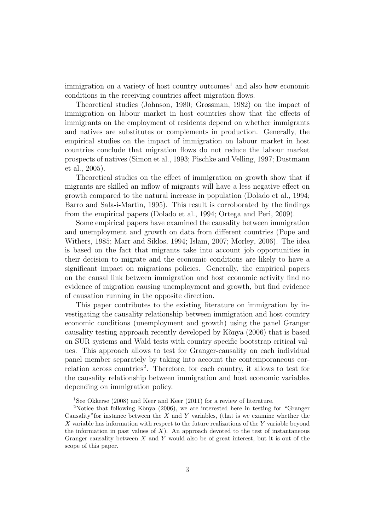immigration on a variety of host country outcomes<sup>1</sup> and also how economic conditions in the receiving countries affect migration flows.

Theoretical studies (Johnson, 1980; Grossman, 1982) on the impact of immigration on labour market in host countries show that the effects of immigrants on the employment of residents depend on whether immigrants and natives are substitutes or complements in production. Generally, the empirical studies on the impact of immigration on labour market in host countries conclude that migration flows do not reduce the labour market prospects of natives (Simon et al., 1993; Pischke and Velling, 1997; Dustmann et al., 2005).

Theoretical studies on the effect of immigration on growth show that if migrants are skilled an inflow of migrants will have a less negative effect on growth compared to the natural increase in population (Dolado et al., 1994; Barro and Sala-i-Martin, 1995). This result is corroborated by the findings from the empirical papers (Dolado et al., 1994; Ortega and Peri, 2009).

Some empirical papers have examined the causality between immigration and unemployment and growth on data from different countries (Pope and Withers, 1985; Marr and Siklos, 1994; Islam, 2007; Morley, 2006). The idea is based on the fact that migrants take into account job opportunities in their decision to migrate and the economic conditions are likely to have a significant impact on migrations policies. Generally, the empirical papers on the causal link between immigration and host economic activity find no evidence of migration causing unemployment and growth, but find evidence of causation running in the opposite direction.

This paper contributes to the existing literature on immigration by investigating the causality relationship between immigration and host country economic conditions (unemployment and growth) using the panel Granger causality testing approach recently developed by Kònya (2006) that is based on SUR systems and Wald tests with country specific bootstrap critical values. This approach allows to test for Granger-causality on each individual panel member separately by taking into account the contemporaneous correlation across countries<sup>2</sup>. Therefore, for each country, it allows to test for the causality relationship between immigration and host economic variables depending on immigration policy.

<sup>1</sup>See Okkerse (2008) and Keer and Keer (2011) for a review of literature.

<sup>&</sup>lt;sup>2</sup>Notice that following Kònya (2006), we are interested here in testing for "Granger" Causality" for instance between the  $X$  and  $Y$  variables, (that is we examine whether the  $X$  variable has information with respect to the future realizations of the  $Y$  variable beyond the information in past values of  $X$ ). An approach devoted to the test of instantaneous Granger causality between  $X$  and  $Y$  would also be of great interest, but it is out of the scope of this paper.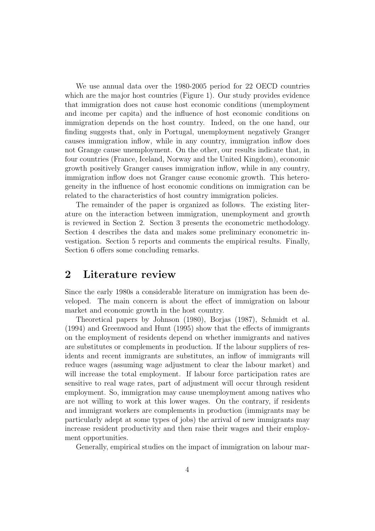We use annual data over the 1980-2005 period for 22 OECD countries which are the major host countries (Figure 1). Our study provides evidence that immigration does not cause host economic conditions (unemployment and income per capita) and the influence of host economic conditions on immigration depends on the host country. Indeed, on the one hand, our finding suggests that, only in Portugal, unemployment negatively Granger causes immigration inflow, while in any country, immigration inflow does not Grange cause unemployment. On the other, our results indicate that, in four countries (France, Iceland, Norway and the United Kingdom), economic growth positively Granger causes immigration inflow, while in any country, immigration inflow does not Granger cause economic growth. This heterogeneity in the influence of host economic conditions on immigration can be related to the characteristics of host country immigration policies.

The remainder of the paper is organized as follows. The existing literature on the interaction between immigration, unemployment and growth is reviewed in Section 2. Section 3 presents the econometric methodology. Section 4 describes the data and makes some preliminary econometric investigation. Section 5 reports and comments the empirical results. Finally, Section 6 offers some concluding remarks.

#### 2 Literature review

Since the early 1980s a considerable literature on immigration has been developed. The main concern is about the effect of immigration on labour market and economic growth in the host country.

Theoretical papers by Johnson (1980), Borjas (1987), Schmidt et al. (1994) and Greenwood and Hunt (1995) show that the effects of immigrants on the employment of residents depend on whether immigrants and natives are substitutes or complements in production. If the labour suppliers of residents and recent immigrants are substitutes, an inflow of immigrants will reduce wages (assuming wage adjustment to clear the labour market) and will increase the total employment. If labour force participation rates are sensitive to real wage rates, part of adjustment will occur through resident employment. So, immigration may cause unemployment among natives who are not willing to work at this lower wages. On the contrary, if residents and immigrant workers are complements in production (immigrants may be particularly adept at some types of jobs) the arrival of new immigrants may increase resident productivity and then raise their wages and their employment opportunities.

Generally, empirical studies on the impact of immigration on labour mar-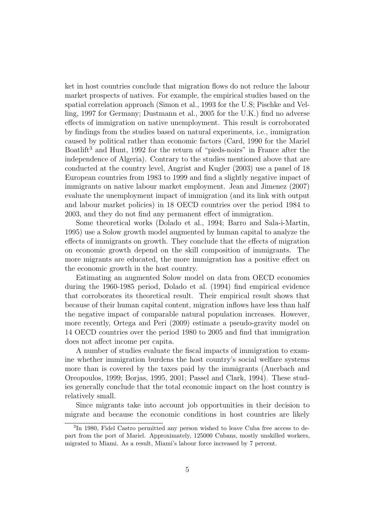ket in host countries conclude that migration flows do not reduce the labour market prospects of natives. For example, the empirical studies based on the spatial correlation approach (Simon et al., 1993 for the U.S; Pischke and Velling, 1997 for Germany; Dustmann et al., 2005 for the U.K.) find no adverse effects of immigration on native unemployment. This result is corroborated by findings from the studies based on natural experiments, i.e., immigration caused by political rather than economic factors (Card, 1990 for the Mariel Boatlift<sup>3</sup> and Hunt, 1992 for the return of "pieds-noirs" in France after the independence of Algeria). Contrary to the studies mentioned above that are conducted at the country level, Angrist and Kugler (2003) use a panel of 18 European countries from 1983 to 1999 and find a slightly negative impact of immigrants on native labour market employment. Jean and Jimenez (2007) evaluate the unemployment impact of immigration (and its link with output and labour market policies) in 18 OECD countries over the period 1984 to 2003, and they do not find any permanent effect of immigration.

Some theoretical works (Dolado et al., 1994; Barro and Sala-i-Martin, 1995) use a Solow growth model augmented by human capital to analyze the effects of immigrants on growth. They conclude that the effects of migration on economic growth depend on the skill composition of immigrants. The more migrants are educated, the more immigration has a positive effect on the economic growth in the host country.

Estimating an augmented Solow model on data from OECD economies during the 1960-1985 period, Dolado et al. (1994) find empirical evidence that corroborates its theoretical result. Their empirical result shows that because of their human capital content, migration inflows have less than half the negative impact of comparable natural population increases. However, more recently, Ortega and Peri (2009) estimate a pseudo-gravity model on 14 OECD countries over the period 1980 to 2005 and find that immigration does not affect income per capita.

A number of studies evaluate the fiscal impacts of immigration to examine whether immigration burdens the host country's social welfare systems more than is covered by the taxes paid by the immigrants (Auerbach and Oreopoulos, 1999; Borjas, 1995, 2001; Passel and Clark, 1994). These studies generally conclude that the total economic impact on the host country is relatively small.

Since migrants take into account job opportunities in their decision to migrate and because the economic conditions in host countries are likely

<sup>3</sup> In 1980, Fidel Castro permitted any person wished to leave Cuba free access to depart from the port of Mariel. Approximately, 125000 Cubans, mostly unskilled workers, migrated to Miami. As a result, Miami's labour force increased by 7 percent.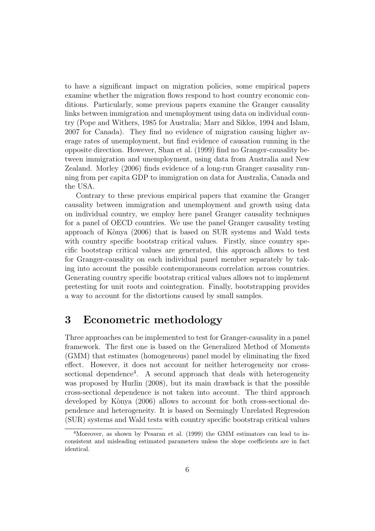to have a significant impact on migration policies, some empirical papers examine whether the migration flows respond to host country economic conditions. Particularly, some previous papers examine the Granger causality links between immigration and unemployment using data on individual country (Pope and Withers, 1985 for Australia; Marr and Siklos, 1994 and Islam, 2007 for Canada). They find no evidence of migration causing higher average rates of unemployment, but find evidence of causation running in the opposite direction. However, Shan et al. (1999) find no Granger-causality between immigration and unemployment, using data from Australia and New Zealand. Morley (2006) finds evidence of a long-run Granger causality running from per capita GDP to immigration on data for Australia, Canada and the USA.

Contrary to these previous empirical papers that examine the Granger causality between immigration and unemployment and growth using data on individual country, we employ here panel Granger causality techniques for a panel of OECD countries. We use the panel Granger causality testing approach of K`onya (2006) that is based on SUR systems and Wald tests with country specific bootstrap critical values. Firstly, since country specific bootstrap critical values are generated, this approach allows to test for Granger-causality on each individual panel member separately by taking into account the possible contemporaneous correlation across countries. Generating country specific bootstrap critical values allows not to implement pretesting for unit roots and cointegration. Finally, bootstrapping provides a way to account for the distortions caused by small samples.

## 3 Econometric methodology

Three approaches can be implemented to test for Granger-causality in a panel framework. The first one is based on the Generalized Method of Moments (GMM) that estimates (homogeneous) panel model by eliminating the fixed effect. However, it does not account for neither heterogeneity nor crosssectional dependence<sup>4</sup>. A second approach that deals with heterogeneity was proposed by Hurlin (2008), but its main drawback is that the possible cross-sectional dependence is not taken into account. The third approach developed by Kònya  $(2006)$  allows to account for both cross-sectional dependence and heterogeneity. It is based on Seemingly Unrelated Regression (SUR) systems and Wald tests with country specific bootstrap critical values

<sup>4</sup>Moreover, as shown by Pesaran et al. (1999) the GMM estimators can lead to inconsistent and misleading estimated parameters unless the slope coefficients are in fact identical.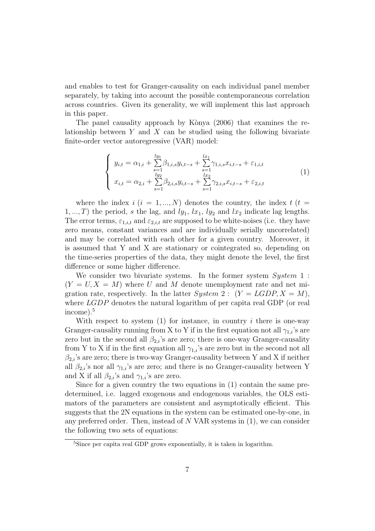and enables to test for Granger-causality on each individual panel member separately, by taking into account the possible contemporaneous correlation across countries. Given its generality, we will implement this last approach in this paper.

The panel causality approach by Kònya (2006) that examines the relationship between  $Y$  and  $X$  can be studied using the following bivariate finite-order vector autoregressive (VAR) model:

$$
\begin{cases}\ny_{i,t} = \alpha_{1,i} + \sum_{s=1}^{ly_1} \beta_{1,i,s} y_{i,t-s} + \sum_{s=1}^{lx_1} \gamma_{1,i,s} x_{i,t-s} + \varepsilon_{1,i,t} \\
x_{i,t} = \alpha_{2,i} + \sum_{s=1}^{ly_2} \beta_{2,i,s} y_{i,t-s} + \sum_{s=1}^{lx_2} \gamma_{2,i,s} x_{i,t-s} + \varepsilon_{2,i,t}\n\end{cases} (1)
$$

where the index  $i$  ( $i = 1, ..., N$ ) denotes the country, the index  $t$  ( $t =$ 1, ..., T) the period, s the lag, and  $ly_1$ ,  $lx_1$ ,  $ly_2$  and  $lx_2$  indicate lag lengths. The error terms,  $\varepsilon_{1,i,t}$  and  $\varepsilon_{2,i,t}$  are supposed to be white-noises (i.e. they have zero means, constant variances and are individually serially uncorrelated) and may be correlated with each other for a given country. Moreover, it is assumed that Y and X are stationary or cointegrated so, depending on the time-series properties of the data, they might denote the level, the first difference or some higher difference.

We consider two bivariate systems. In the former system  $System\ 1$ :  $(Y = U, X = M)$  where U and M denote unemployment rate and net migration rate, respectively. In the latter  $System\ 2: (Y = LGDP, X = M)$ , where *LGDP* denotes the natural logarithm of per capita real GDP (or real income).<sup>5</sup>

With respect to system  $(1)$  for instance, in country i there is one-way Granger-causality running from X to Y if in the first equation not all  $\gamma_{1,i}$ 's are zero but in the second all  $\beta_{2,i}$ 's are zero; there is one-way Granger-causality from Y to X if in the first equation all  $\gamma_{1,i}$ 's are zero but in the second not all  $\beta_{2,i}$ 's are zero; there is two-way Granger-causality between Y and X if neither all  $\beta_{2,i}$ 's nor all  $\gamma_{1,i}$ 's are zero; and there is no Granger-causality between Y and X if all  $\beta_{2,i}$ 's and  $\gamma_{1,i}$ 's are zero.

Since for a given country the two equations in (1) contain the same predetermined, i.e. lagged exogenous and endogenous variables, the OLS estimators of the parameters are consistent and asymptotically efficient. This suggests that the 2N equations in the system can be estimated one-by-one, in any preferred order. Then, instead of  $N$  VAR systems in  $(1)$ , we can consider the following two sets of equations:

<sup>5</sup>Since per capita real GDP grows exponentially, it is taken in logarithm.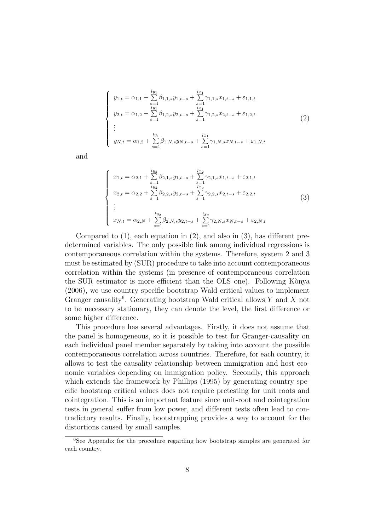$$
\begin{cases}\ny_{1,t} = \alpha_{1,1} + \sum_{s=1}^{ly_1} \beta_{1,1,s} y_{1,t-s} + \sum_{s=1}^{lx_1} \gamma_{1,1,s} x_{1,t-s} + \varepsilon_{1,1,t} \\
y_{2,t} = \alpha_{1,2} + \sum_{s=1}^{ly_1} \beta_{1,2,s} y_{2,t-s} + \sum_{s=1}^{lx_1} \gamma_{1,2,s} x_{2,t-s} + \varepsilon_{1,2,t} \\
\vdots \\
y_{N,t} = \alpha_{1,2} + \sum_{s=1}^{ly_1} \beta_{1,N,s} y_{N,t-s} + \sum_{s=1}^{lx_1} \gamma_{1,N,s} x_{N,t-s} + \varepsilon_{1,N,t}\n\end{cases} (2)
$$

and

$$
\begin{cases}\nx_{1,t} = \alpha_{2,1} + \sum_{s=1}^{ly_2} \beta_{2,1,s} y_{1,t-s} + \sum_{s=1}^{lx_2} \gamma_{2,1,s} x_{1,t-s} + \varepsilon_{2,1,t} \\
x_{2,t} = \alpha_{2,2} + \sum_{s=1}^{ly_2} \beta_{2,2,s} y_{2,t-s} + \sum_{s=1}^{lx_2} \gamma_{2,2,s} x_{2,t-s} + \varepsilon_{2,2,t} \\
\vdots \\
x_{N,t} = \alpha_{2,N} + \sum_{s=1}^{ly_2} \beta_{2,N,s} y_{2,t-s} + \sum_{s=1}^{lx_2} \gamma_{2,N,s} x_{N,t-s} + \varepsilon_{2,N,t}\n\end{cases}\n\tag{3}
$$

Compared to  $(1)$ , each equation in  $(2)$ , and also in  $(3)$ , has different predetermined variables. The only possible link among individual regressions is contemporaneous correlation within the systems. Therefore, system 2 and 3 must be estimated by (SUR) procedure to take into account contemporaneous correlation within the systems (in presence of contemporaneous correlation the SUR estimator is more efficient than the OLS one). Following Konya (2006), we use country specific bootstrap Wald critical values to implement Granger causality<sup>6</sup>. Generating bootstrap Wald critical allows Y and X not to be necessary stationary, they can denote the level, the first difference or some higher difference.

This procedure has several advantages. Firstly, it does not assume that the panel is homogeneous, so it is possible to test for Granger-causality on each individual panel member separately by taking into account the possible contemporaneous correlation across countries. Therefore, for each country, it allows to test the causality relationship between immigration and host economic variables depending on immigration policy. Secondly, this approach which extends the framework by Phillips (1995) by generating country specific bootstrap critical values does not require pretesting for unit roots and cointegration. This is an important feature since unit-root and cointegration tests in general suffer from low power, and different tests often lead to contradictory results. Finally, bootstrapping provides a way to account for the distortions caused by small samples.

<sup>6</sup>See Appendix for the procedure regarding how bootstrap samples are generated for each country.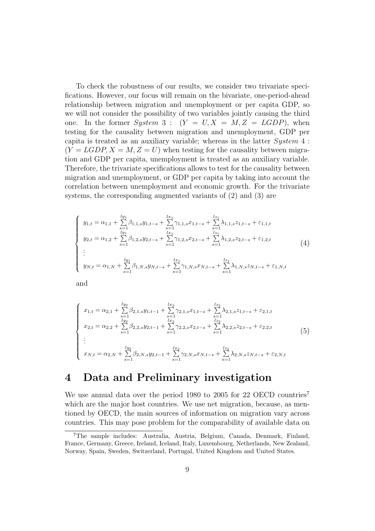To check the robustness of our results, we consider two trivariate specifications. However, our focus will remain on the bivariate, one-period-ahead relationship between migration and unemployment or per capita GDP, so we will not consider the possibility of two variables jointly causing the third one. In the former System 3 :  $(Y = U, X = M, Z = LGDP)$ , when testing for the causality between migration and unemployment, GDP per capita is treated as an auxiliary variable; whereas in the latter System 4 :  $(Y = LGDP, X = M, Z = U)$  when testing for the causality between migration and GDP per capita, unemployment is treated as an auxiliary variable. Therefore, the trivariate specifications allows to test for the causality between migration and unemployment, or GDP per capita by taking into account the correlation between unemployment and economic growth. For the trivariate systems, the corresponding augmented variants of (2) and (3) are

$$
\begin{cases}\ny_{1,t} = \alpha_{1,1} + \sum_{s=1}^{ly_1} \beta_{1,1,s} y_{1,t-s} + \sum_{s=1}^{lx_1} \gamma_{1,1,s} x_{1,t-s} + \sum_{s=1}^{lz_1} \lambda_{1,1,s} z_{1,t-s} + \varepsilon_{1,1,t} \\
y_{2,t} = \alpha_{1,2} + \sum_{s=1}^{ly_1} \beta_{1,2,s} y_{2,t-s} + \sum_{s=1}^{lx_1} \gamma_{1,2,s} x_{2,t-s} + \sum_{s=1}^{lz_1} \lambda_{1,2,s} z_{2,t-s} + \varepsilon_{1,2,t} \\
\vdots \\
y_{N,t} = \alpha_{1,N} + \sum_{s=1}^{ly_1} \beta_{1,N,s} y_{N,t-s} + \sum_{s=1}^{lx_1} \gamma_{1,N,s} x_{N,t-s} + \sum_{s=1}^{lz_1} \lambda_{1,N,s} z_{N,t-s} + \varepsilon_{1,N,t}\n\end{cases}\n\tag{4}
$$

and

$$
\begin{cases}\nx_{1,t} = \alpha_{2,1} + \sum_{s=1}^{ly_2} \beta_{2,1,s} y_{1,t-1} + \sum_{s=1}^{lx_2} \gamma_{2,1,s} x_{1,t-s} + \sum_{s=1}^{lz_2} \lambda_{2,1,s} z_{1,t-s} + \varepsilon_{2,1,t} \\
x_{2,t} = \alpha_{2,2} + \sum_{s=1}^{ly_2} \beta_{2,2,s} y_{2,t-1} + \sum_{s=1}^{lx_2} \gamma_{2,2,s} x_{2,t-s} + \sum_{s=1}^{lz_2} \lambda_{2,2,s} z_{2,t-s} + \varepsilon_{2,2,t} \\
\vdots \\
x_{N,t} = \alpha_{2,N} + \sum_{s=1}^{ly_2} \beta_{2,N,s} y_{2,t-1} + \sum_{s=1}^{lx_2} \gamma_{2,N,s} x_{N,t-s} + \sum_{s=1}^{lz_2} \lambda_{2,N,s} z_{N,t-s} + \varepsilon_{2,N,t}\n\end{cases}\n(5)
$$

## 4 Data and Preliminary investigation

We use annual data over the period 1980 to 2005 for 22 OECD countries<sup>7</sup> which are the major host countries. We use net migration, because, as mentioned by OECD, the main sources of information on migration vary across countries. This may pose problem for the comparability of available data on

<sup>7</sup>The sample includes: Australia, Austria, Belgium, Canada, Denmark, Finland, France, Germany, Greece, Ireland, Iceland, Italy, Luxembourg, Netherlands, New Zealand, Norway, Spain, Sweden, Switzerland, Portugal, United Kingdom and United States.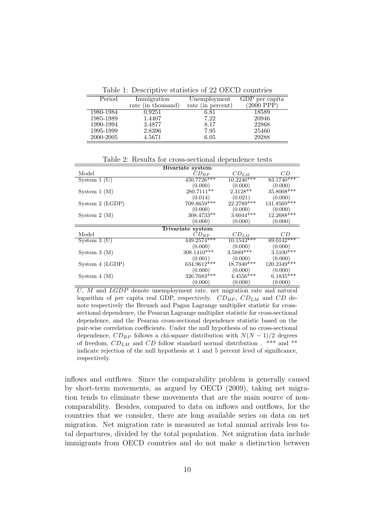Table 1: Descriptive statistics of 22 OECD countries

| Period    | Immigration        | Unemployment      | GDP per capita  |
|-----------|--------------------|-------------------|-----------------|
|           | rate (in thousand) | rate (in percent) | $(2000$ PPP $)$ |
| 1980-1984 | 0.9251             | 6.81              | 18589           |
| 1985-1989 | 1.4407             | 7.22              | 20946           |
| 1990-1994 | 3.4877             | 8.17              | 22868           |
| 1995-1999 | 2.8396             | 7.95              | 25460           |
| 2000-2005 | 4.5671             | 6.05              | 29288           |

Bivariate system Model  $CD_{BP}$   $CD_{LM}$   $CD$ System 1 (U)  $450.7726***$   $10.2246***$   $83.1740**$ <br>(0.000)  $(0.000)$  (0.000)  $(0.000)$  $(0.000)$   $(0.000)$   $(0.000)$ <br>  $280.7111***$   $2.3128**$   $35.8008***$ System 1 (M)  $280.7111^{**}$   $2.3128^{**}$   $35.8008^{*}$ <br>(0.014)  $(0.021)$   $(0.000)$  $\begin{array}{cccc} (0.014) & (0.021) & (0.000) \\ 709.8659^{***} & 22.2789^{***} & 131.8569^{***} \end{array}$ System 2 (LGDP)  $709.8659^{***}$   $22.2789^{*}$   $(0.000)$   $(0.000)$  $\begin{array}{cccc} (0.000) & & (0.000) & & (0.000) \\ 308.4733^{**} & & 3.6044^{***} & 12.2688^{***} \end{array}$ System 2 (M)  $308.4733^{**}$   $3.6044^{*}$ <br>(0.000) (0.000)  $(0.000)$ Trivariate system Model  $CD_{BP}$   $CD_{LM}$   $CD$  $\begin{array}{c|cc}\n\text{Model} & & \dot{C}D_{BP} & CD_{LM} & CD \\
\hline\n\text{System 3 (U)} & & 449.2574*** & 10.1543*** & 89.0142** \\
 & & (0.000) & (0.000) & (0.000)\n\end{array}$  $(0.000)$   $(0.000)$   $(0.000)$   $(0.000)$ <br>308.1410\*\*\* 3.5889\*\*\* 3.5100\*\*\* System 3 (M)  $308.1410^{***}$   $3.5889^{***}$   $3.5100^{*}$ <br>(0.001) (0.000) (0.000)  $(0.001)$   $(0.000)$   $(0.000)$ <br>  $634.9612***$   $18.7940***$   $120.2349***$ System 4 (LGDP)  $634.9612^{***}$   $18.7940^{***}$   $120.2349^{**}$ <br>(0.000)  $(0.000)$   $(0.000)$   $(0.000)$  $(0.000)$   $(0.000)$   $(0.000)$ <br>326.7683\*\*\* 4.4556\*\*\* 6.1835\*\*\* System 4 (M)  $326.7683*$   $(0.000)$  $(0.000)$   $(0.000)$ 

Table 2: Results for cross-sectional dependence tests

U, M and LGDP denote unemployment rate, net migration rate and natural logarithm of per capita real GDP, respectively.  $CD_{BP}$ ,  $CD_{LM}$  and  $CD$  denote respectively the Breusch and Pagan Lagrange multiplier statistic for crosssectional dependence, the Pesaran Lagrange multiplier statistic for cross-sectional dependence, and the Pesaran cross-sectional dependence statistic based on the pair-wise correlation coefficients. Under the null hypothesis of no cross-sectional dependence,  $CD_{BP}$  follows a chi-square distribution with  $N(N-1)/2$  degrees of freedom,  $CD_{LM}$  and  $CD$  follow standard normal distribution . \*\*\* and \*\* indicate rejection of the null hypothesis at 1 and 5 percent level of significance, respectively.

inflows and outflows. Since the comparability problem is generally caused by short-term movements, as argued by OECD (2009), taking net migration tends to eliminate these movements that are the main source of noncomparability. Besides, compared to data on inflows and outflows, for the countries that we consider, there are long available series on data on net migration. Net migration rate is measured as total annual arrivals less total departures, divided by the total population. Net migration data include immigrants from OECD countries and do not make a distinction between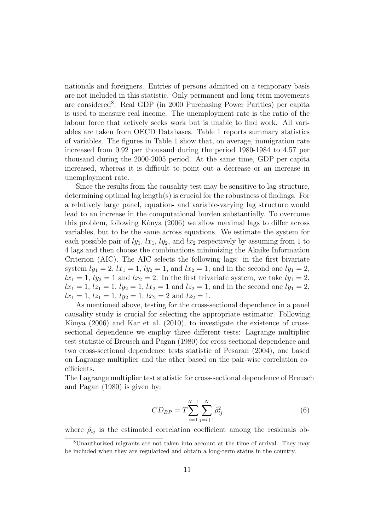nationals and foreigners. Entries of persons admitted on a temporary basis are not included in this statistic. Only permanent and long-term movements are considered<sup>8</sup>. Real GDP (in 2000 Purchasing Power Parities) per capita is used to measure real income. The unemployment rate is the ratio of the labour force that actively seeks work but is unable to find work. All variables are taken from OECD Databases. Table 1 reports summary statistics of variables. The figures in Table 1 show that, on average, immigration rate increased from 0.92 per thousand during the period 1980-1984 to 4.57 per thousand during the 2000-2005 period. At the same time, GDP per capita increased, whereas it is difficult to point out a decrease or an increase in unemployment rate.

Since the results from the causality test may be sensitive to lag structure, determining optimal lag length(s) is crucial for the robustness of findings. For a relatively large panel, equation- and variable-varying lag structure would lead to an increase in the computational burden substantially. To overcome this problem, following Kònya (2006) we allow maximal lags to differ across variables, but to be the same across equations. We estimate the system for each possible pair of  $ly_1$ ,  $lx_1$ ,  $ly_2$ , and  $lx_2$  respectively by assuming from 1 to 4 lags and then choose the combinations minimizing the Akaike Information Criterion (AIC). The AIC selects the following lags: in the first bivariate system  $ly_1 = 2$ ,  $lx_1 = 1$ ,  $ly_2 = 1$ , and  $lx_2 = 1$ ; and in the second one  $ly_1 = 2$ ,  $lx_1 = 1, ly_2 = 1$  and  $lx_2 = 2$ . In the first trivariate system, we take  $ly_1 = 2$ ,  $lx_1 = 1, lz_1 = 1, ly_2 = 1, lx_2 = 1$  and  $lz_2 = 1$ ; and in the second one  $ly_1 = 2$ ,  $lx_1 = 1, lz_1 = 1, ly_2 = 1, lx_2 = 2 \text{ and } lz_2 = 1.$ 

As mentioned above, testing for the cross-sectional dependence in a panel causality study is crucial for selecting the appropriate estimator. Following Kònya  $(2006)$  and Kar et al.  $(2010)$ , to investigate the existence of crosssectional dependence we employ three different tests: Lagrange multiplier test statistic of Breusch and Pagan (1980) for cross-sectional dependence and two cross-sectional dependence tests statistic of Pesaran (2004), one based on Lagrange multiplier and the other based on the pair-wise correlation coefficients.

The Lagrange multiplier test statistic for cross-sectional dependence of Breusch and Pagan (1980) is given by:

$$
CD_{BP} = T \sum_{i=1}^{N-1} \sum_{j=i+1}^{N} \hat{\rho}_{ij}^2
$$
 (6)

where  $\hat{\rho}_{ij}$  is the estimated correlation coefficient among the residuals ob-

<sup>8</sup>Unauthorized migrants are not taken into account at the time of arrival. They may be included when they are regularized and obtain a long-term status in the country.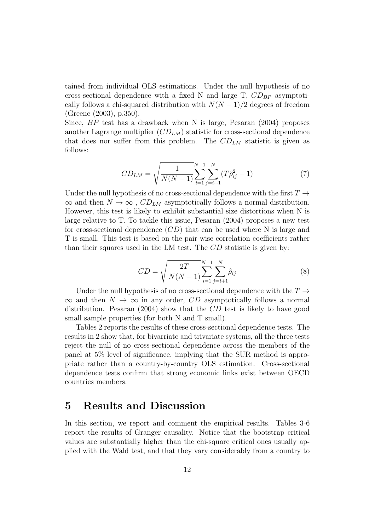tained from individual OLS estimations. Under the null hypothesis of no cross-sectional dependence with a fixed N and large T,  $CD_{BP}$  asymptotically follows a chi-squared distribution with  $N(N-1)/2$  degrees of freedom (Greene (2003), p.350).

Since, BP test has a drawback when N is large, Pesaran (2004) proposes another Lagrange multiplier  $(CD_{LM})$  statistic for cross-sectional dependence that does nor suffer from this problem. The  $CD_{LM}$  statistic is given as follows:

$$
CD_{LM} = \sqrt{\frac{1}{N(N-1)} \sum_{i=1}^{N-1} \sum_{j=i+1}^{N} (T \hat{\rho}_{ij}^2 - 1)}
$$
(7)

Under the null hypothesis of no cross-sectional dependence with the first  $T \rightarrow$  $\infty$  and then  $N \to \infty$ ,  $CD_{LM}$  asymptotically follows a normal distribution. However, this test is likely to exhibit substantial size distortions when N is large relative to T. To tackle this issue, Pesaran (2004) proposes a new test for cross-sectional dependence  $(CD)$  that can be used where N is large and T is small. This test is based on the pair-wise correlation coefficients rather than their squares used in the LM test. The CD statistic is given by:

$$
CD = \sqrt{\frac{2T}{N(N-1)}} \sum_{i=1}^{N-1} \sum_{j=i+1}^{N} \hat{\rho}_{ij}
$$
\n(8)

Under the null hypothesis of no cross-sectional dependence with the  $T \rightarrow$  $\infty$  and then  $N \to \infty$  in any order, CD asymptotically follows a normal distribution. Pesaran (2004) show that the CD test is likely to have good small sample properties (for both N and T small).

Tables 2 reports the results of these cross-sectional dependence tests. The results in 2 show that, for bivarriate and trivariate systems, all the three tests reject the null of no cross-sectional dependence across the members of the panel at 5% level of significance, implying that the SUR method is appropriate rather than a country-by-country OLS estimation. Cross-sectional dependence tests confirm that strong economic links exist between OECD countries members.

## 5 Results and Discussion

In this section, we report and comment the empirical results. Tables 3-6 report the results of Granger causality. Notice that the bootstrap critical values are substantially higher than the chi-square critical ones usually applied with the Wald test, and that they vary considerably from a country to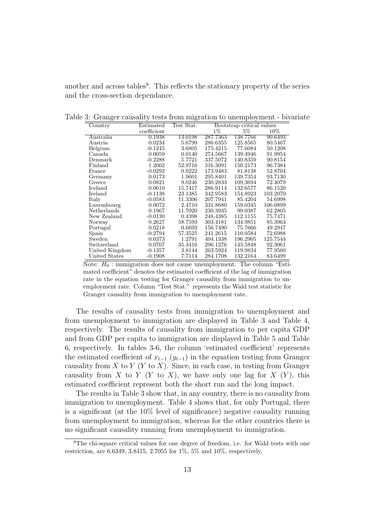another and across tables<sup>9</sup>. This reflects the stationary property of the series and the cross-section dependance.

| Country        | Estimated   | Test Stat. | Bootstrap critical values |          |          |
|----------------|-------------|------------|---------------------------|----------|----------|
|                | coefficient |            | $1\%$                     | $5\%$    | $10\%$   |
| Australia      | 0.1938      | 13.0198    | 287.7363                  | 138.7766 | 90.6493  |
| Austria        | 0.0234      | 5.6799     | 286.6355                  | 125.8565 | 80.5467  |
| Belgium        | $-0.1245$   | 3.6805     | 175.4215                  | 77.6084  | 50.1208  |
| Canada         | 0.0059      | 0.0140     | 274.5667                  | 139.4946 | 91.9954  |
| Denmark        | $-0.2288$   | 5.7721     | 337.5072                  | 140.8359 | 90.8154  |
| Finland        | 1.2062      | 52.9716    | 316.3091                  | 150.2173 | 96.7384  |
| France         | $-0.0292$   | 0.0222     | 173.9483                  | 81.8138  | 52.8704  |
| Germany        | 0.0173      | 1.9601     | 295.8401                  | 139.7354 | 93.7130  |
| Greece         | 0.0821      | 9.0246     | 230.2833                  | 109.3694 | 72.4079  |
| Iceland        | 0.0610      | 15.7417    | 286.9114                  | 132.6577 | 86.1520  |
| Ireland        | $-0.1138$   | 23.1385    | 342.9583                  | 154.8923 | 103.2070 |
| Italy          | $-0.0583$   | 11.3306    | 207.7941                  | 85.4204  | 54.6998  |
| Luxembourg     | 0.0072      | 2.4710     | 331.8680                  | 159.0345 | 106.0899 |
| Netherlands    | 0.1967      | 11.7020    | 230.3935                  | 99.0387  | 62.2805  |
| New Zealand    | $-0.0130$   | 0.4398     | 248.4385                  | 112.1155 | 75.7471  |
| Norway         | 0.2627      | 58.7593    | 303.4181                  | 134.9851 | 85.3963  |
| Portugal       | 0.0218      | 0.6693     | 156.7490                  | 75.7666  | 49.2947  |
| Spain          | $-0.2794$   | 57.3525    | 241.2615                  | 110.0584 | 72.6988  |
| Sweden         | 0.0373      | 1.2791     | 404.1338                  | 196.2905 | 125.7544 |
| Switzerland    | 0.0767      | 35.3416    | 296.1276                  | 143.5848 | 92.3061  |
| United Kingdom | $-0.1357$   | 3.8144     | 263.5924                  | 119.9834 | 77.9560  |
| United States  | $-0.1908$   | 7.7114     | 284.1708                  | 132.2164 | 83.6499  |

Table 3: Granger causality tests from migration to unemployment - bivariate

Note:  $H_0$ : immigration does not cause unemployment. The column "Estimated coefficient" denotes the estimated coefficient of the lag of immigration rate in the equation testing for Granger causality from immigration to unemployment rate. Column "Test Stat." represents the Wald test statistic for Granger causality from immigration to unemployment rate.

The results of causality tests from immigration to unemployment and from unemployment to immigration are displayed in Table 3 and Table 4, respectively. The results of causality from immigration to per capita GDP and from GDP per capita to immigration are displayed in Table 5 and Table 6, respectively. In tables 3-6, the column 'estimated coefficient' represents the estimated coefficient of  $x_{t-1}$  ( $y_{t-1}$ ) in the equation testing from Granger causality from X to Y (Y to X). Since, in each case, in testing from Granger causality from X to Y (Y to X), we have only one lag for  $X(Y)$ , this estimated coefficient represent both the short run and the long impact.

The results in Table 3 show that, in any country, there is no causality from immigration to unemployment. Table 4 shows that, for only Portugal, there is a significant (at the 10% level of significance) negative causality running from unemployment to immigration, whereas for the other countries there is no significant causality running from unemployment to immigration.

<sup>&</sup>lt;sup>9</sup>The chi-square critical values for one degree of freedom, i.e. for Wald tests with one restriction, are 6.6349, 3.8415, 2.7055 for 1%, 5% and 10%, respectively.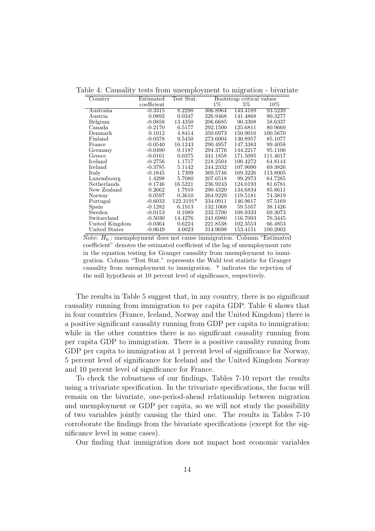| Country        | Estimated   | Test Stat. |          | Bootstrap critical values |          |
|----------------|-------------|------------|----------|---------------------------|----------|
|                | coefficient |            | $1\%$    | $5\%$                     | $10\%$   |
| Australia      | $-0.3315$   | 8.2290     | 306.8964 | 143.4189                  | 93.5239  |
| Austria        | 0.0892      | 0.0347     | 326.9468 | 141.4868                  | 90.3277  |
| Belgium        | $-0.0858$   | 13.4350    | 206.6685 | 90.3308                   | 58.6337  |
| Canada         | $-0.2170$   | 6.5177     | 292.1500 | 125.6811                  | 80.9669  |
| Denmark        | 0.1012      | 4.8414     | 350.6973 | 150.9016                  | 100.5670 |
| Finland        | $-0.0378$   | 9.5450     | 273.6004 | 130.8957                  | 85.1077  |
| France         | $-0.0540$   | 16.1243    | 290.4957 | 147.3383                  | 99.4058  |
| Germany        | $-0.0490$   | 0.1187     | 294.3776 | 144.2217                  | 95.1106  |
| Greece         | $-0.0161$   | 0.0375     | 341.1858 | 171.5095                  | 111.4617 |
| Iceland        | $-0.2756$   | 1.1717     | 218.2504 | 100.4272                  | 64.8144  |
| Ireland        | $-0.3785$   | 5.1142     | 244.2332 | 107.9090                  | 69.3826  |
| Italy          | $-0.1845$   | 1.7309     | 369.5746 | 169.3226                  | 113.8005 |
| Luxembourg     | 1.4298      | 5.7080     | 207.6518 | 99.2973                   | 64.7285  |
| Netherlands    | 0.1746      | 16.5221    | 236.9243 | 124.0193                  | 81.6781  |
| New Zealand    | 0.2662      | 1.7910     | 290.4320 | 134.6834                  | 85.8611  |
| Norway         | 0.0597      | 0.3610     | 264.9229 | 119.5181                  | 74.3819  |
| Portugal       | $-0.6033$   | 122.3191*  | 334.0911 | 146.9617                  | 97.5169  |
| Spain          | $-0.1282$   | 6.1913     | 132.1068 | 59.5167                   | 38.1426  |
| Sweden         | $-0.0153$   | 0.1089     | 232.5700 | 108.9333                  | 69.3073  |
| Switzerland    | $-0.5030$   | 14.4276    | 241.6980 | 116.7093                  | 76.3445  |
| United Kingdom | $-0.0364$   | 0.6224     | 221.8538 | 102.3553                  | 66.4853  |
| United States  | $-0.0649$   | 4.0023     | 314.9698 | 153.4151                  | 100.2002 |

Table 4: Causality tests from unemployment to migration - bivariate

Note:  $H_0$ : unemployment does not cause immigration. Column "Estimated" coefficient" denotes the estimated coefficient of the lag of unemployment rate in the equation testing for Granger causality from unemployment to immigration. Column "Test Stat." represents the Wald test statistic for Granger causality from unemployment to immigration. \* indicates the rejection of the null hypothesis at 10 percent level of significance, respectively.

The results in Table 5 suggest that, in any country, there is no significant causality running from immigration to per capita GDP. Table 6 shows that in four countries (France, Iceland, Norway and the United Kingdom) there is a positive significant causality running from GDP per capita to immigration; while in the other countries there is no significant causality running from per capita GDP to immigration. There is a positive causality running from GDP per capita to immigration at 1 percent level of significance for Norway, 5 percent level of significance for Iceland and the United Kingdom Norway and 10 percent level of significance for France.

To check the robustness of our findings, Tables 7-10 report the results using a trivariate specification. In the trivariate specifications, the focus will remain on the bivariate, one-period-ahead relationship between migration and unemployment or GDP per capita, so we will not study the possibility of two variables jointly causing the third one. The results in Tables 7-10 corroborate the findings from the bivariate specifications (except for the significance level in some cases).

Our finding that immigration does not impact host economic variables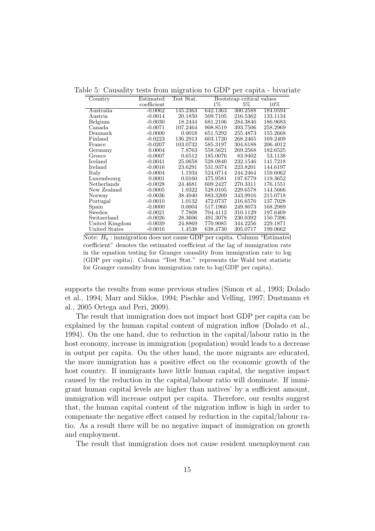Table 5: Causality tests from migration to GDP per capita - bivariate

| Country        | Estimated   | Test Stat. |          | Bootstrap critical values |          |
|----------------|-------------|------------|----------|---------------------------|----------|
|                | coefficient |            | $1\%$    | $5\%$                     | 10%      |
| Australia      | $-0.0062$   | 145.2363   | 642.1363 | 300.2588                  | 184.0594 |
| Austria        | $-0.0014$   | 20.1850    | 509.7105 | 216.5362                  | 133.1134 |
| Belgium        | $-0.0030$   | 18.2444    | 681.2106 | 284.3846                  | 186.9683 |
| Canada         | $-0.0071$   | 107.2464   | 908.8519 | 393.7506                  | 258.2969 |
| Denmark        | $-0.0000$   | 0.0018     | 651.5292 | 255.4873                  | 155.2668 |
| Finland        | $-0.0223$   | 136.2913   | 603.1720 | 268.2465                  | 169.2409 |
| France         | $-0.0207$   | 103.0732   | 585.3197 | 304.6188                  | 206.4012 |
| Germany        | 0.0004      | 7.8763     | 558.5621 | 269.2568                  | 182.6525 |
| Greece         | $-0.0007$   | 0.6512     | 185.0076 | 83.9402                   | 53.1138  |
| Iceland        | $-0.0041$   | 25.0658    | 528.0840 | 232.1546                  | 141.7218 |
| Ireland        | $-0.0016$   | 23.6291    | 531.9374 | 223.8201                  | 144.6197 |
| Italy          | $-0.0004$   | 1.1934     | 524.0714 | 244.2464                  | 159.6062 |
| Luxembourg     | 0.0001      | 0.0160     | 475.9581 | 197.6779                  | 119.3652 |
| Netherlands    | $-0.0028$   | 24.4681    | 609.2427 | 270.3311                  | 176.1551 |
| New Zealand    | $-0.0005$   | 1.9322     | 528.0105 | 229.6578                  | 144.5666 |
| Norway         | $-0.0036$   | 38.4940    | 883.3209 | 343.9916                  | 215.0718 |
| Portugal       | $-0.0010$   | 1.0132     | 472.0737 | 216.6576                  | 137.7028 |
| Spain          | $-0.0000$   | 0.0004     | 517.1960 | 249.8073                  | 168.2989 |
| Sweden         | $-0.0021$   | 7.7808     | 704.4112 | 310.1129                  | 197.6469 |
| Switzerland    | $-0.0026$   | 28.3606    | 491.3078 | 230.0392                  | 150.7396 |
| United Kingdom | $-0.0039$   | 24.8869    | 770.9085 | 344.2256                  | 229.1871 |
| United States  | $-0.0016$   | 1.4538     | 638.4730 | 305.0717                  | 199.0662 |

Note:  $H_0$ : immigration does not cause GDP per capita. Column "Estimated" coefficient" denotes the estimated coefficient of the lag of immigration rate in the equation testing for Granger causality from immigration rate to log (GDP per capita). Column "Test Stat." represents the Wald test statistic for Granger causality from immigration rate to log(GDP per capita).

supports the results from some previous studies (Simon et al., 1993; Dolado et al., 1994; Marr and Siklos, 1994; Pischke and Velling, 1997; Dustmann et al., 2005 Ortega and Peri, 2009).

The result that immigration does not impact host GDP per capita can be explained by the human capital content of migration inflow (Dolado et al., 1994). On the one hand, due to reduction in the capital/labour ratio in the host economy, increase in immigration (population) would leads to a decrease in output per capita. On the other hand, the more migrants are educated, the more immigration has a positive effect on the economic growth of the host country. If immigrants have little human capital, the negative impact caused by the reduction in the capital/labour ratio will dominate. If immigrant human capital levels are higher than natives' by a sufficient amount, immigration will increase output per capita. Therefore, our results suggest that, the human capital content of the migration inflow is high in order to compensate the negative effect caused by reduction in the capital/labour ratio. As a result there will be no negative impact of immigration on growth and employment.

The result that immigration does not cause resident unemployment can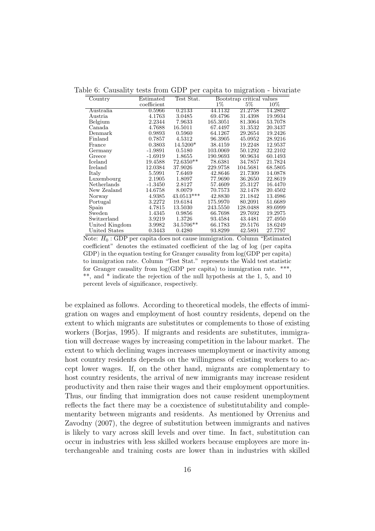Table 6: Causality tests from GDP per capita to migration - bivariate

| Country        | Estimated   | Test Stat.   |          | Bootstrap critical values |         |
|----------------|-------------|--------------|----------|---------------------------|---------|
|                | coefficient |              | $1\%$    | $5\%$                     | $10\%$  |
| Australia      | ${0.5966}$  | 0.2133       | 44.1132  | 21.2758                   | 14.2802 |
| Austria        | 4.1763      | 3.0485       | 69.4796  | 31.4398                   | 19.9934 |
| Belgium        | 2.2344      | 7.9633       | 165.3051 | 81.3064                   | 53.7078 |
| Canada         | 4.7688      | 16.5011      | 67.4497  | 31.3532                   | 20.3437 |
| Denmark        | 0.9893      | 0.5960       | 64.1267  | 29.2654                   | 19.2426 |
| Finland        | 0.7857      | 4.5312       | 96.3905  | 45.0952                   | 28.9216 |
| France         | 0.3803      | 14.5200*     | 38.4159  | 19.2248                   | 12.9537 |
| Germany        | $-1.9891$   | 0.5180       | 103.0069 | 50.1292                   | 32.2102 |
| Greece         | $-1.6919$   | 1.8655       | 190.9693 | 90.9634                   | 60.1493 |
| Iceland        | 19.4588     | 72.6350**    | 78.6381  | 34.7857                   | 21.7824 |
| Ireland        | 12.0384     | 37.9026      | 229.9758 | 104.5681                  | 68.5805 |
| Italy          | 5.5991      | 7.6469       | 42.8646  | 21.7309                   | 14.0878 |
| Luxembourg     | 2.1905      | 1.8097       | 77.9690  | 36.2650                   | 22.8619 |
| Netherlands    | $-1.3450$   | 2.8127       | 57.4609  | 25.3127                   | 16.4470 |
| New Zealand    | 14.6758     | 8.0079       | 70.7573  | 32.1478                   | 20.4502 |
| Norway         | 4.9385      | $43.0513***$ | 42.8830  | 21.1842                   | 13.4986 |
| Portugal       | 3.2272      | 19.6184      | 175.9970 | 80.2091                   | 51.6689 |
| Spain          | 4.7815      | 13.5030      | 243.5550 | 128.0488                  | 89.6999 |
| Sweden         | 1.4345      | 0.9856       | 66.7698  | 29.7692                   | 19.2975 |
| Switzerland    | 3.9219      | 1.3726       | 93.4584  | 43.4481                   | 27.4950 |
| United Kingdom | 3.9982      | 34.5706**    | 66.1783  | 29.5176                   | 18.6249 |
| United States  | 0.3443      | 0.4280       | 93.8299  | 42.5891                   | 27.7797 |

 $\overline{\text{Note: } H_0: \text{GDP per capita does not cause immigration. Column "Estimated" }$ coefficient" denotes the estimated coefficient of the lag of log (per capita GDP) in the equation testing for Granger causality from  $log(GDP$  per capita) to immigration rate. Column "Test Stat." represents the Wald test statistic for Granger causality from  $log(GDP$  per capita) to immigration rate. \*\*\*, \*\*, and \* indicate the rejection of the null hypothesis at the 1, 5, and 10 percent levels of significance, respectively.

be explained as follows. According to theoretical models, the effects of immigration on wages and employment of host country residents, depend on the extent to which migrants are substitutes or complements to those of existing workers (Borjas, 1995). If migrants and residents are substitutes, immigration will decrease wages by increasing competition in the labour market. The extent to which declining wages increases unemployment or inactivity among host country residents depends on the willingness of existing workers to accept lower wages. If, on the other hand, migrants are complementary to host country residents, the arrival of new immigrants may increase resident productivity and then raise their wages and their employment opportunities. Thus, our finding that immigration does not cause resident unemployment reflects the fact there may be a coexistence of substitutability and complementarity between migrants and residents. As mentioned by Orrenius and Zavodny (2007), the degree of substitution between immigrants and natives is likely to vary across skill levels and over time. In fact, substitution can occur in industries with less skilled workers because employees are more interchangeable and training costs are lower than in industries with skilled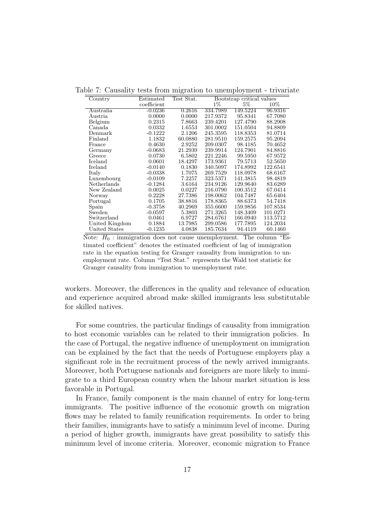| Country                  | Estimated   | Test Stat. |          | Bootstrap critical values |          |
|--------------------------|-------------|------------|----------|---------------------------|----------|
|                          | coefficient |            | $1\%$    | $5\%$                     | $10\%$   |
| Australia                | $-0.0236$   | 0.2616     | 334.7989 | 149.5224                  | 96.9316  |
| Austria                  | 0.0000      | 0.0000     | 217.9372 | 95.8341                   | 67.7080  |
| Belgium                  | 0.2315      | 7.8663     | 239.4201 | 127.4790                  | 88.2908  |
| Canada                   | 0.0332      | 1.6553     | 301.0002 | 151.0504                  | 94.8809  |
| Denmark                  | $-0.1222$   | 2.1206     | 245.3595 | 118.8353                  | 81.0714  |
| $\operatorname{Finland}$ | 1.1832      | 60.0880    | 281.9510 | 159.2575                  | 95.2094  |
| France                   | 0.4630      | 2.9252     | 209.0307 | 98.4185                   | 70.4652  |
| Germany                  | $-0.0683$   | 21.2939    | 239.9914 | 124.7901                  | 84.8816  |
| Greece                   | 0.0730      | 6.5802     | 221.2246 | 99.5950                   | 67.9572  |
| Iceland                  | 0.0601      | 18.4297    | 173.9361 | 79.5713                   | 52.5650  |
| Ireland                  | $-0.0140$   | 0.1830     | 340.5097 | 174.8992                  | 122.6541 |
| Italy                    | $-0.0338$   | 1.7075     | 269.7529 | 118.0978                  | 68.6167  |
| Luxembourg               | $-0.0109$   | 7.2257     | 323.5371 | 141.3815                  | 98.4819  |
| Netherlands              | $-0.1284$   | 3.6164     | 234.9126 | 129.9640                  | 83.6289  |
| New Zealand              | 0.0025      | 0.0227     | 216.0790 | 100.3512                  | 67.0414  |
| Norway                   | 0.2228      | 27.7386    | 198.0062 | 104.7487                  | 65.6404  |
| Portugal                 | 0.1705      | 38.8816    | 178.8365 | 88.6373                   | 54.7418  |
| Spain                    | $-0.3758$   | 40.2969    | 355.6600 | 159.9856                  | 107.8534 |
| Sweden                   | $-0.0597$   | 5.3803     | 271.3265 | 148.3409                  | 101.0271 |
| Switzerland              | 0.0461      | 6.9727     | 284.6761 | 166.0940                  | 113.5712 |
| United Kingdom           | 0.1884      | 13.7985    | 299.0586 | 177.7895                  | 124.2034 |
| United States            | $-0.1235$   | 4.0838     | 185.7634 | 94.4119                   | 60.1460  |

Table 7: Causality tests from migration to unemployment - trivariate

 $\overline{\text{Note: } H_0: \text{immigration does not cause un employment. The column "Es-}$ timated coefficient" denotes the estimated coefficient of lag of immigration rate in the equation testing for Granger causality from immigration to unemployment rate. Column "Test Stat." represents the Wald test statistic for Granger causality from immigration to unemployment rate.

workers. Moreover, the differences in the quality and relevance of education and experience acquired abroad make skilled immigrants less substitutable for skilled natives.

For some countries, the particular findings of causality from immigration to host economic variables can be related to their immigration policies. In the case of Portugal, the negative influence of unemployment on immigration can be explained by the fact that the needs of Portuguese employers play a significant role in the recruitment process of the newly arrived immigrants. Moreover, both Portuguese nationals and foreigners are more likely to immigrate to a third European country when the labour market situation is less favorable in Portugal.

In France, family component is the main channel of entry for long-term immigrants. The positive influence of the economic growth on migration flows may be related to family reunification requirements. In order to bring their families, immigrants have to satisfy a minimum level of income. During a period of higher growth, immigrants have great possibility to satisfy this minimum level of income criteria. Moreover, economic migration to France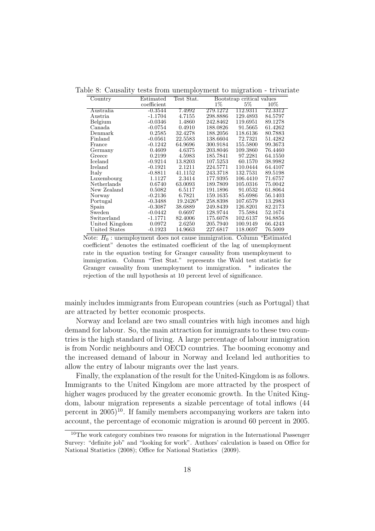| Country        | Estimated   | Test Stat. |          | Bootstrap critical values |         |
|----------------|-------------|------------|----------|---------------------------|---------|
|                | coefficient |            | $1\%$    | $5\%$                     | $10\%$  |
| Australia      | $-0.3544$   | 7.4992     | 279.1272 | 112.9311                  | 72.3312 |
| Austria        | $-1.1704$   | 4.7155     | 298.8886 | 129.4893                  | 84.5797 |
| Belgium        | $-0.0346$   | 1.4860     | 242.8462 | 119.6951                  | 89.1278 |
| Canada         | $-0.0754$   | 0.4910     | 188.0826 | 91.5665                   | 61.4262 |
| Denmark        | 0.2585      | 32.4278    | 188.2056 | 118.6136                  | 80.7883 |
| Finland        | $-0.0561$   | 22.5583    | 138.6604 | 72.7321                   | 51.4282 |
| France         | $-0.1242$   | 64.9696    | 300.9184 | 155.5800                  | 99.3673 |
| Germany        | 0.4609      | 4.6375     | 203.8046 | 109.3860                  | 76.4460 |
| Greece         | 0.2199      | 4.5983     | 185.7841 | 97.2281                   | 64.1550 |
| Iceland        | $-0.9214$   | 13.8203    | 107.5253 | 60.1570                   | 38.9982 |
| Ireland        | $-0.1921$   | 2.1211     | 224.5771 | 110.0444                  | 64.4107 |
| Italy          | $-0.8811$   | 41.1152    | 243.3718 | 132.7531                  | 89.5198 |
| Luxembourg     | 1.1127      | 2.3414     | 177.9395 | 106.4410                  | 71.6757 |
| Netherlands    | 0.6740      | 63.0093    | 189.7809 | 105.0316                  | 75.0042 |
| New Zealand    | 0.5082      | 6.5117     | 191.1896 | 91.0532                   | 61.8064 |
| Norway         | $-0.2136$   | 6.7821     | 159.1635 | 85.6986                   | 56.1403 |
| Portugal       | $-0.3488$   | $19.2426*$ | 258.8398 | 107.6579                  | 13.2983 |
| Spain          | $-0.3087$   | 38.6889    | 249.8439 | 126.8201                  | 82.2173 |
| Sweden         | $-0.0442$   | 0.6697     | 128.9744 | 75.5884                   | 52.1674 |
| Switzerland    | $-1.1771$   | 82.4006    | 175.6078 | 102.6137                  | 94.8856 |
| United Kingdom | 0.0972      | 2.6250     | 205.7940 | 100.9149                  | 66.4243 |
| United States  | $-0.1923$   | 14.9663    | 227.6817 | 118.0697                  | 76.5009 |

Table 8: Causality tests from unemployment to migration - trivariate

Note:  $H_0$ : unemployment does not cause immigration. Column "Estimated" coefficient" denotes the estimated coefficient of the lag of unemployment rate in the equation testing for Granger causality from unemployment to immigration. Column "Test Stat." represents the Wald test statistic for Granger causality from unemployment to immigration. \* indicates the rejection of the null hypothesis at 10 percent level of significance.

mainly includes immigrants from European countries (such as Portugal) that are attracted by better economic prospects.

Norway and Iceland are two small countries with high incomes and high demand for labour. So, the main attraction for immigrants to these two countries is the high standard of living. A large percentage of labour immigration is from Nordic neighbours and OECD countries. The booming economy and the increased demand of labour in Norway and Iceland led authorities to allow the entry of labour migrants over the last years.

Finally, the explanation of the result for the United-Kingdom is as follows. Immigrants to the United Kingdom are more attracted by the prospect of higher wages produced by the greater economic growth. In the United Kingdom, labour migration represents a sizable percentage of total inflows (44 percent in  $2005$ <sup>10</sup>. If family members accompanying workers are taken into account, the percentage of economic migration is around 60 percent in 2005.

<sup>&</sup>lt;sup>10</sup>The work category combines two reasons for migration in the International Passenger Survey: "definite job" and "looking for work". Authors' calculation is based on Office for National Statistics (2008); Office for National Statistics (2009).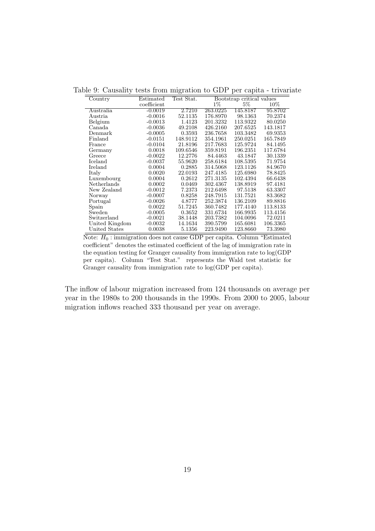| Country        | $\rm Estimated$ | Test Stat. |          | Bootstrap critical values |          |
|----------------|-----------------|------------|----------|---------------------------|----------|
|                | coefficient     |            | $1\%$    | $5\%$                     | 10%      |
| Australia      | $-0.0019$       | 2.7210     | 263.0225 | 145.8187                  | 95.8702  |
| Austria        | $-0.0016$       | 52.1135    | 176.8970 | 98.1363                   | 70.2374  |
| Belgium        | $-0.0013$       | 1.4123     | 201.3232 | 113.9322                  | 80.0250  |
| Canada         | $-0.0036$       | 49.2108    | 426.2160 | 207.6525                  | 143.1817 |
| Denmark        | $-0.0005$       | 0.3593     | 236.7658 | 103.3482                  | 69.9353  |
| Finland        | $-0.0151$       | 148.9112   | 354.1961 | 250.0251                  | 165.7849 |
| France         | $-0.0104$       | 21.8196    | 217.7683 | 125.9724                  | 84.1495  |
| Germany        | 0.0018          | 109.6546   | 359.8191 | 196.2351                  | 117.6784 |
| Greece         | $-0.0022$       | 12.2776    | 84.4463  | 43.1847                   | 30.1339  |
| Iceland        | $-0.0037$       | 55.9620    | 258.6184 | 108.5395                  | 71.9754  |
| Ireland        | 0.0004          | 0.2885     | 314.5068 | 123.1126                  | 84.9670  |
| Italy          | 0.0020          | 22.0193    | 247.4185 | 125.6980                  | 78.8425  |
| Luxembourg     | 0.0004          | 0.2612     | 271.3135 | 102.4394                  | 66.6438  |
| Netherlands    | 0.0002          | 0.0469     | 302.4367 | 138.8919                  | 97.4181  |
| New Zealand    | $-0.0012$       | 7.2373     | 212.6498 | 97.5138                   | 63.3307  |
| Norway         | $-0.0007$       | 0.8258     | 248.7915 | 131.7521                  | 83.3682  |
| Portugal       | $-0.0026$       | 4.8777     | 252.3874 | 136.2109                  | 89.8816  |
| Spain          | 0.0022          | 51.7245    | 360.7482 | 177.4140                  | 113.8133 |
| Sweden         | $-0.0005$       | 0.3652     | 331.6734 | 166.9935                  | 113.4156 |
| Switzerland    | $-0.0021$       | 38.1448    | 203.7382 | 104.0096                  | 72.0211  |
| United Kingdom | $-0.0032$       | 14.1634    | 390.5799 | 165.6081                  | 106.3365 |
| United States  | 0.0038          | 5.1356     | 223.9490 | 123.8660                  | 73.3980  |

Table 9: Causality tests from migration to GDP per capita - trivariate

Note:  $H_0$ : immigration does not cause GDP per capita. Column "Estimated coefficient" denotes the estimated coefficient of the lag of immigration rate in the equation testing for Granger causality from immigration rate to log(GDP per capita). Column "Test Stat." represents the Wald test statistic for Granger causality from immigration rate to log(GDP per capita).

The inflow of labour migration increased from 124 thousands on average per year in the 1980s to 200 thousands in the 1990s. From 2000 to 2005, labour migration inflows reached 333 thousand per year on average.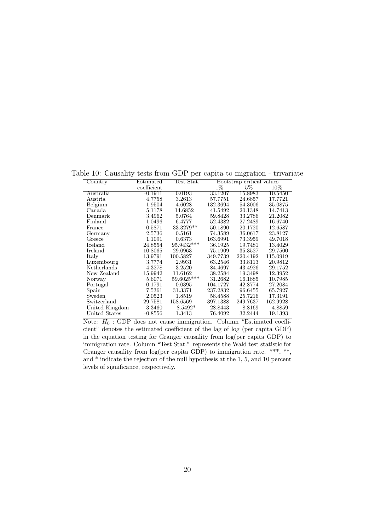Table 10: Causality tests from GDP per capita to migration - trivariate

| Country        | Estimated   | Test Stat. |          | Bootstrap critical values |          |
|----------------|-------------|------------|----------|---------------------------|----------|
|                | coefficient |            | $1\%$    | $5\%$                     | 10%      |
| Australia      | $-0.1911$   | 0.0193     | 33.1207  | 15.8983                   | 10.5450  |
| Austria        | 4.7758      | 3.2613     | 57.7751  | 24.6857                   | 17.7721  |
| Belgium        | 1.9504      | 4.6028     | 132.3694 | 54.3006                   | 35.0875  |
| Canada         | 5.1178      | 14.6852    | 41.5492  | 20.1348                   | 14.7413  |
| Denmark        | 3.4962      | 5.0764     | 59.8428  | 33.2786                   | 21.2082  |
| Finland        | 1.0496      | 6.4777     | 52.4382  | 27.2489                   | 16.6740  |
| France         | 0.5871      | 33.3279**  | 50.1890  | 20.1720                   | 12.6587  |
| Germany        | 2.5736      | 0.5161     | 74.3589  | 36.0617                   | 23.8127  |
| Greece         | 1.1091      | 0.6373     | 163.6991 | 73.3959                   | 49.7018  |
| Iceland        | 24.8554     | 95.9432*** | 36.1925  | 19.7481                   | 13.4029  |
| Ireland        | 10.8065     | 29.0963    | 75.1909  | 35.3527                   | 29.7500  |
| Italy          | 13.9791     | 100.5827   | 349.7739 | 220.4192                  | 115.0919 |
| Luxembourg     | 3.7774      | 2.9931     | 63.2546  | 33.8113                   | 20.9812  |
| Netherlands    | 4.3278      | 3.2520     | 84.4697  | 43.4926                   | 29.1752  |
| New Zealand    | 15.9942     | 11.6162    | 38.2584  | 19.3498                   | 12.3952  |
| Norway         | 5.6071      | 59.6025*** | 31.2682  | 16.1885                   | 10.7985  |
| Portugal       | 0.1791      | 0.0395     | 104.1727 | 42.8774                   | 27.2084  |
| Spain          | 7.5361      | 31.3371    | 237.2832 | 96.6455                   | 65.7927  |
| Sweden         | 2.0523      | 1.8519     | 58.4588  | 25.7216                   | 17.3191  |
| Switzerland    | 29.7581     | 158.6569   | 397.1388 | 249.7637                  | 162.9928 |
| United Kingdom | 3.3460      | $8.5492*$  | 28.8443  | 8.8169                    | 4.8859   |
| United States  | $-0.8556$   | 1.3413     | 76.4092  | 32.2444                   | 19.1393  |

Note:  $H_0$ : GDP does not cause immigration. Column "Estimated coefficient" denotes the estimated coefficient of the lag of log (per capita GDP) in the equation testing for Granger causality from log(per capita GDP) to immigration rate. Column "Test Stat." represents the Wald test statistic for Granger causality from log(per capita GDP) to immigration rate. \*\*\*, \*\*, and \* indicate the rejection of the null hypothesis at the 1, 5, and 10 percent levels of significance, respectively.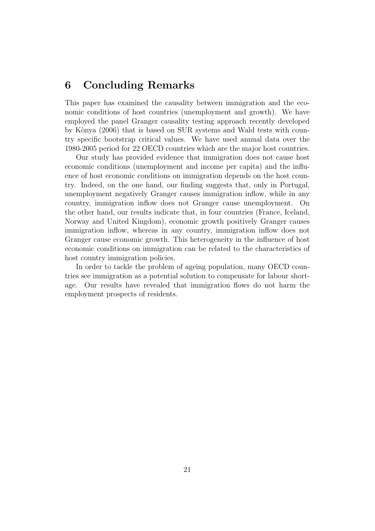## 6 Concluding Remarks

This paper has examined the causality between immigration and the economic conditions of host countries (unemployment and growth). We have employed the panel Granger causality testing approach recently developed by Kònya (2006) that is based on SUR systems and Wald tests with country specific bootstrap critical values. We have used annual data over the 1980-2005 period for 22 OECD countries which are the major host countries.

Our study has provided evidence that immigration does not cause host economic conditions (unemployment and income per capita) and the influence of host economic conditions on immigration depends on the host country. Indeed, on the one hand, our finding suggests that, only in Portugal, unemployment negatively Granger causes immigration inflow, while in any country, immigration inflow does not Granger cause unemployment. On the other hand, our results indicate that, in four countries (France, Iceland, Norway and United Kingdom), economic growth positively Granger causes immigration inflow, whereas in any country, immigration inflow does not Granger cause economic growth. This heterogeneity in the influence of host economic conditions on immigration can be related to the characteristics of host country immigration policies.

In order to tackle the problem of ageing population, many OECD countries see immigration as a potential solution to compensate for labour shortage. Our results have revealed that immigration flows do not harm the employment prospects of residents.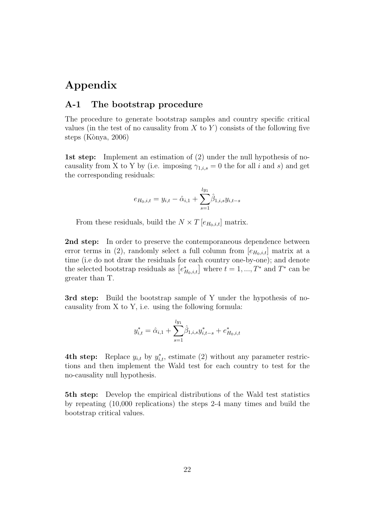## Appendix

#### A-1 The bootstrap procedure

The procedure to generate bootstrap samples and country specific critical values (in the test of no causality from  $X$  to  $Y$ ) consists of the following five steps (Kònya, 2006)

1st step: Implement an estimation of (2) under the null hypothesis of nocausality from X to Y by (i.e. imposing  $\gamma_{1,i,s} = 0$  the for all i and s) and get the corresponding residuals:

$$
e_{H_0,i,t} = y_{i,t} - \hat{\alpha}_{i,1} + \sum_{s=1}^{ly_1} \hat{\beta}_{1,i,s} y_{i,t-s}
$$

From these residuals, build the  $N \times T$  [ $e_{H_0,i,t}$ ] matrix.

2nd step: In order to preserve the contemporaneous dependence between error terms in (2), randomly select a full column from  $[e_{H_0,i,t}]$  matrix at a time (i.e do not draw the residuals for each country one-by-one); and denote the selected bootstrap residuals as  $[e_{H_0,i,t}^*]$  where  $t = 1, ..., T^*$  and  $T^*$  can be greater than T.

3rd step: Build the bootstrap sample of Y under the hypothesis of nocausality from X to Y, i.e. using the following formula:

$$
y_{i,t}^* = \hat{\alpha}_{i,1} + \sum_{s=1}^{ly_1} \hat{\beta}_{1,i,s} y_{i,t-s}^* + e_{H_0,i,t}^*
$$

**4th step:** Replace  $y_{i,t}$  by  $y_{i,t}^*$ , estimate (2) without any parameter restrictions and then implement the Wald test for each country to test for the no-causality null hypothesis.

5th step: Develop the empirical distributions of the Wald test statistics by repeating (10,000 replications) the steps 2-4 many times and build the bootstrap critical values.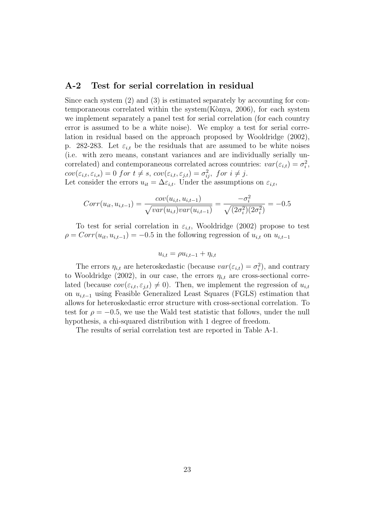#### A-2 Test for serial correlation in residual

Since each system (2) and (3) is estimated separately by accounting for contemporaneous correlated within the system  $(K\delta nya, 2006)$ , for each system we implement separately a panel test for serial correlation (for each country error is assumed to be a white noise). We employ a test for serial correlation in residual based on the approach proposed by Wooldridge (2002), p. 282-283. Let  $\varepsilon_{i,t}$  be the residuals that are assumed to be white noises (i.e. with zero means, constant variances and are individually serially uncorrelated) and contemporaneous correlated across countries:  $var(\varepsilon_{i,t}) = \sigma_i^2$  $_i^2,$  $cov(\varepsilon_{i,t}, \varepsilon_{i,s}) = 0$  for  $t \neq s$ ,  $cov(\varepsilon_{i,t}, \varepsilon_{j,t}) = \sigma_{ij}^2$ , for  $i \neq j$ . Let consider the errors  $u_{it} = \Delta \varepsilon_{i,t}$ . Under the assumptions on  $\varepsilon_{i,t}$ ,

$$
Corr(u_{it}, u_{i,t-1}) = \frac{cov(u_{i,t}, u_{i,t-1})}{\sqrt{var(u_{i,t})var(u_{i,t-1})}} = \frac{-\sigma_i^2}{\sqrt{(2\sigma_i^2)(2\sigma_i^2)}} = -0.5
$$

To test for serial correlation in  $\varepsilon_{i,t}$ , Wooldridge (2002) propose to test  $\rho = Corr(u_{it}, u_{i,t-1}) = -0.5$  in the following regression of  $u_{i,t}$  on  $u_{i,t-1}$ 

$$
u_{i,t} = \rho u_{i,t-1} + \eta_{i,t}
$$

The errors  $\eta_{i,t}$  are heteroskedastic (because  $var(\varepsilon_{i,t}) = \sigma_i^2$  $i^2$ , and contrary to Wooldridge (2002), in our case, the errors  $\eta_{i,t}$  are cross-sectional correlated (because  $cov(\varepsilon_{i,t}, \varepsilon_{j,t}) \neq 0$ ). Then, we implement the regression of  $u_{i,t}$ on  $u_{i,t-1}$  using Feasible Generalized Least Squares (FGLS) estimation that allows for heteroskedastic error structure with cross-sectional correlation. To test for  $\rho = -0.5$ , we use the Wald test statistic that follows, under the null hypothesis, a chi-squared distribution with 1 degree of freedom.

The results of serial correlation test are reported in Table A-1.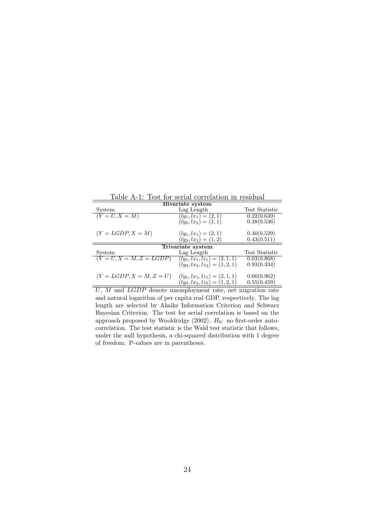Table A-1: Test for serial correlation in residual

| Bivariate system           |                                  |                |  |  |
|----------------------------|----------------------------------|----------------|--|--|
| System                     | Lag Length                       | Test Statistic |  |  |
| $(Y = U, X = M)$           | $(ly_1, lx_1) = (2, 1)$          | 0.22(0.639)    |  |  |
|                            | $(ly_2, lx_2) = (1, 1)$          | 0.38(0.536)    |  |  |
| $(Y = LGDP, X = M)$        | $(ly_1, lx_1) = (2, 1)$          | 0.40(0.529)    |  |  |
|                            | $(ly_2, lx_2) = (1, 2)$          | 0.43(0.511)    |  |  |
|                            | Trivariate system                |                |  |  |
| System                     | Lag Length                       | Test Statistic |  |  |
| $(Y = U, X = M, Z = LGDP)$ | $(ly_1, lx_1, lz_1) = (2, 1, 1)$ | 0.03(0.868)    |  |  |
|                            | $(ly_2, lx_2, lz_2) = (1, 2, 1)$ | 0.93(0.334)    |  |  |
| $(Y = LGDP, X = M, Z = U)$ | $(ly_1, lx_1, lz_1) = (2, 1, 1)$ | 0.00(0.962)    |  |  |
|                            | $(ly_2, lx_2, lz_2) = (1, 2, 1)$ | 0.55(0.459)    |  |  |

 $\overline{U, M}$  and  $\overline{LGDP}$  denote unemployment rate, net migration rate and natural logarithm of per capita real GDP, respectively. The lag length are selected by Akaike Information Criterion and Schwarz Bayesian Criterion. The test for serial correlation is based on the approach proposed by Wooldridge (2002).  $H_0$ : no first-order autocorrelation. The test statistic is the Wald test statistic that follows, under the null hypothesis, a chi-squared distribution with 1 degree of freedom. P-values are in parentheses.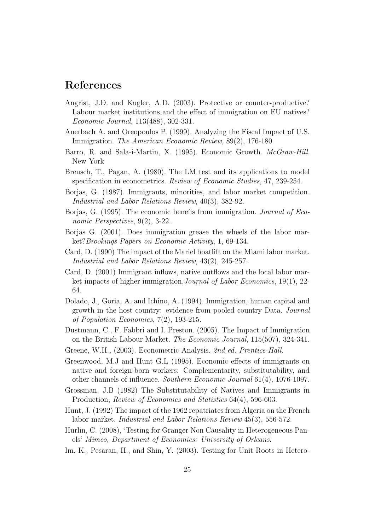## References

- Angrist, J.D. and Kugler, A.D. (2003). Protective or counter-productive? Labour market institutions and the effect of immigration on EU natives? *Economic Journal*, 113(488), 302-331.
- Auerbach A. and Oreopoulos P. (1999). Analyzing the Fiscal Impact of U.S. Immigration. *The American Economic Review*, 89(2), 176-180.
- Barro, R. and Sala-i-Martin, X. (1995). Economic Growth. *McGraw-Hill*. New York
- Breusch, T., Pagan, A. (1980). The LM test and its applications to model specification in econometrics. *Review of Economic Studies*, 47, 239-254.
- Borjas, G. (1987). Immigrants, minorities, and labor market competition. *Industrial and Labor Relations Review*, 40(3), 382-92.
- Borjas, G. (1995). The economic benefis from immigration. *Journal of Economic Perspectives*, 9(2), 3-22.
- Borjas G. (2001). Does immigration grease the wheels of the labor market?*Brookings Papers on Economic Activity*, 1, 69-134.
- Card, D. (1990) The impact of the Mariel boatlift on the Miami labor market. *Industrial and Labor Relations Review*, 43(2), 245-257.
- Card, D. (2001) Immigrant inflows, native outflows and the local labor market impacts of higher immigration.*Journal of Labor Economics*, 19(1), 22- 64.
- Dolado, J., Goria, A. and Ichino, A. (1994). Immigration, human capital and growth in the host country: evidence from pooled country Data. *Journal of Population Economics*, 7(2), 193-215.
- Dustmann, C., F. Fabbri and I. Preston. (2005). The Impact of Immigration on the British Labour Market. *The Economic Journal*, 115(507), 324-341.
- Greene, W.H., (2003). Econometric Analysis. *2nd ed. Prentice-Hall*.
- Greenwood, M.J and Hunt G.L (1995). Economic effects of immigrants on native and foreign-born workers: Complementarity, substitutability, and other channels of influence. *Southern Economic Journal* 61(4), 1076-1097.
- Grossman, J.B (1982) The Substitutability of Natives and Immigrants in Production, *Review of Economics and Statistics* 64(4), 596-603.
- Hunt, J. (1992) The impact of the 1962 repatriates from Algeria on the French labor market. *Industrial and Labor Relations Review* 45(3), 556-572.
- Hurlin, C. (2008), 'Testing for Granger Non Causality in Heterogeneous Panels' *Mimeo, Department of Economics: University of Orleans*.
- Im, K., Pesaran, H., and Shin, Y. (2003). Testing for Unit Roots in Hetero-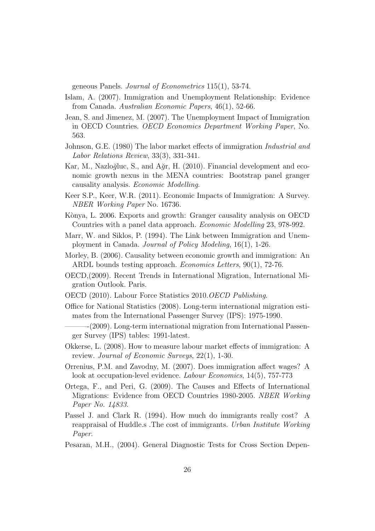geneous Panels. *Journal of Econometrics* 115(1), 53-74.

- Islam, A. (2007). Immigration and Unemployment Relationship: Evidence from Canada. *Australian Economic Papers*, 46(1), 52-66.
- Jean, S. and Jimenez, M. (2007). The Unemployment Impact of Immigration in OECD Countries. *OECD Economics Department Working Paper*, No. 563.
- Johnson, G.E. (1980) The labor market effects of immigration *Industrial and Labor Relations Review*, 33(3), 331-341.
- Kar, M., Nazloğluc, S., and  $A\ddot{q}r$ , H. (2010). Financial development and economic growth nexus in the MENA countries: Bootstrap panel granger causality analysis. *Economic Modelling*.
- Keer S.P., Keer, W.R. (2011). Economic Impacts of Immigration: A Survey. *NBER Working Paper* No. 16736.
- Kònya, L. 2006. Exports and growth: Granger causality analysis on OECD Countries with a panel data approach. *Economic Modelling* 23, 978-992.
- Marr, W. and Siklos, P. (1994). The Link between Immigration and Unemployment in Canada. *Journal of Policy Modeling*, 16(1), 1-26.
- Morley, B. (2006). Causality between economic growth and immigration: An ARDL bounds testing approach. *Economics Letters*, 90(1), 72-76.
- OECD,(2009). Recent Trends in International Migration, International Migration Outlook. Paris.
- OECD (2010). Labour Force Statistics 2010.*OECD Publishing*.
- Office for National Statistics (2008). Long-term international migration estimates from the International Passenger Survey (IPS): 1975-1990.
	- $-(2009)$ . Long-term international migration from International Passenger Survey (IPS) tables: 1991-latest.
- Okkerse, L. (2008). How to measure labour market effects of immigration: A review. *Journal of Economic Surveys*, 22(1), 1-30.
- Orrenius, P.M. and Zavodny, M. (2007). Does immigration affect wages? A look at occupation-level evidence. *Labour Economics*, 14(5), 757-773
- Ortega, F., and Peri, G. (2009). The Causes and Effects of International Migrations: Evidence from OECD Countries 1980-2005. *NBER Working Paper No. 14833*.
- Passel J. and Clark R. (1994). How much do immigrants really cost? A reappraisal of Huddle.s .The cost of immigrants. *Urban Institute Working Paper*.
- Pesaran, M.H., (2004). General Diagnostic Tests for Cross Section Depen-